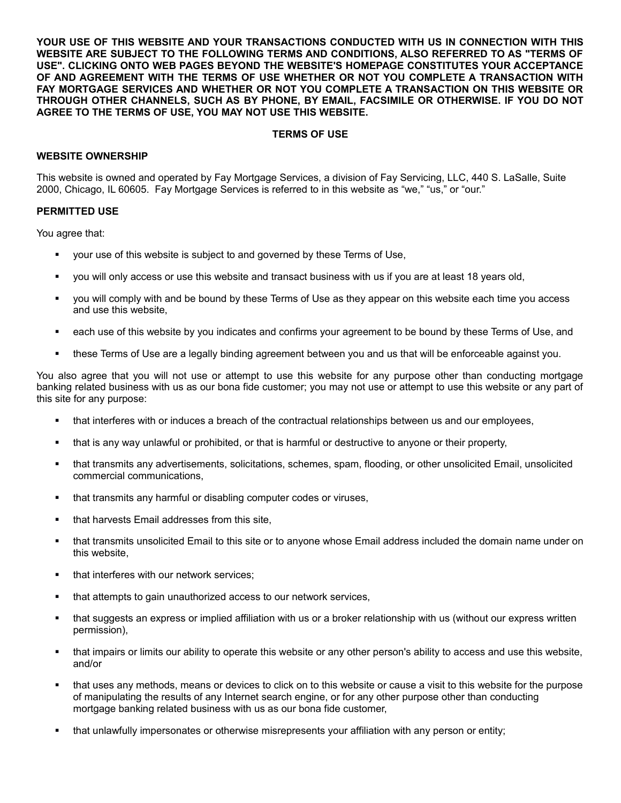**YOUR USE OF THIS WEBSITE AND YOUR TRANSACTIONS CONDUCTED WITH US IN CONNECTION WITH THIS WEBSITE ARE SUBJECT TO THE FOLLOWING TERMS AND CONDITIONS, ALSO REFERRED TO AS "TERMS OF USE". CLICKING ONTO WEB PAGES BEYOND THE WEBSITE'S HOMEPAGE CONSTITUTES YOUR ACCEPTANCE OF AND AGREEMENT WITH THE TERMS OF USE WHETHER OR NOT YOU COMPLETE A TRANSACTION WITH FAY MORTGAGE SERVICES AND WHETHER OR NOT YOU COMPLETE A TRANSACTION ON THIS WEBSITE OR THROUGH OTHER CHANNELS, SUCH AS BY PHONE, BY EMAIL, FACSIMILE OR OTHERWISE. IF YOU DO NOT AGREE TO THE TERMS OF USE, YOU MAY NOT USE THIS WEBSITE.**

### **TERMS OF USE**

# **WEBSITE OWNERSHIP**

This website is owned and operated by Fay Mortgage Services, a division of Fay Servicing, LLC, 440 S. LaSalle, Suite 2000, Chicago, IL 60605. Fay Mortgage Services is referred to in this website as "we," "us," or "our."

### **PERMITTED USE**

You agree that:

- your use of this website is subject to and governed by these Terms of Use,
- you will only access or use this website and transact business with us if you are at least 18 years old,
- you will comply with and be bound by these Terms of Use as they appear on this website each time you access and use this website,
- each use of this website by you indicates and confirms your agreement to be bound by these Terms of Use, and
- these Terms of Use are a legally binding agreement between you and us that will be enforceable against you.

You also agree that you will not use or attempt to use this website for any purpose other than conducting mortgage banking related business with us as our bona fide customer; you may not use or attempt to use this website or any part of this site for any purpose:

- that interferes with or induces a breach of the contractual relationships between us and our employees,
- that is any way unlawful or prohibited, or that is harmful or destructive to anyone or their property,
- that transmits any advertisements, solicitations, schemes, spam, flooding, or other unsolicited Email, unsolicited commercial communications,
- **that transmits any harmful or disabling computer codes or viruses,**
- that harvests Email addresses from this site,
- that transmits unsolicited Email to this site or to anyone whose Email address included the domain name under on this website,
- that interferes with our network services;
- that attempts to gain unauthorized access to our network services,
- that suggests an express or implied affiliation with us or a broker relationship with us (without our express written permission),
- that impairs or limits our ability to operate this website or any other person's ability to access and use this website, and/or
- that uses any methods, means or devices to click on to this website or cause a visit to this website for the purpose of manipulating the results of any Internet search engine, or for any other purpose other than conducting mortgage banking related business with us as our bona fide customer,
- that unlawfully impersonates or otherwise misrepresents your affiliation with any person or entity;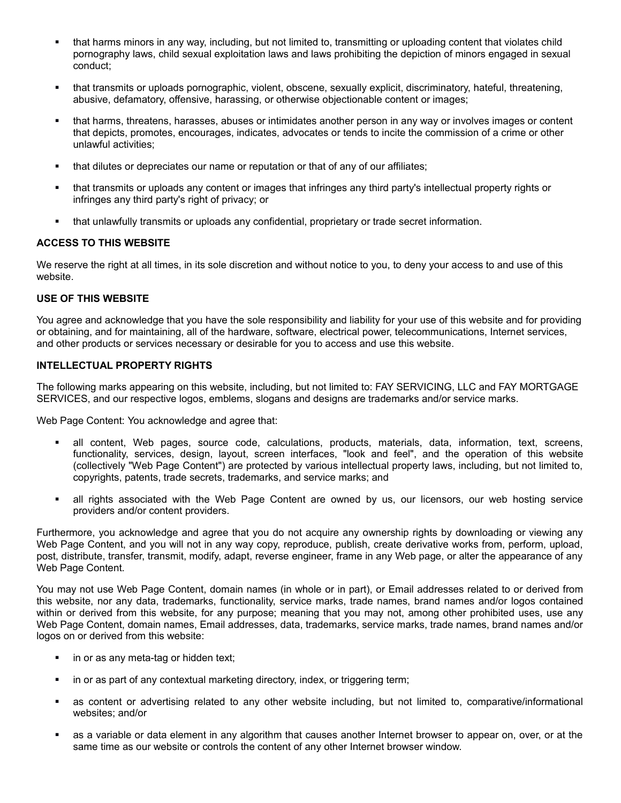- that harms minors in any way, including, but not limited to, transmitting or uploading content that violates child pornography laws, child sexual exploitation laws and laws prohibiting the depiction of minors engaged in sexual conduct;
- that transmits or uploads pornographic, violent, obscene, sexually explicit, discriminatory, hateful, threatening, abusive, defamatory, offensive, harassing, or otherwise objectionable content or images;
- that harms, threatens, harasses, abuses or intimidates another person in any way or involves images or content that depicts, promotes, encourages, indicates, advocates or tends to incite the commission of a crime or other unlawful activities;
- that dilutes or depreciates our name or reputation or that of any of our affiliates;
- that transmits or uploads any content or images that infringes any third party's intellectual property rights or infringes any third party's right of privacy; or
- that unlawfully transmits or uploads any confidential, proprietary or trade secret information.

### **ACCESS TO THIS WEBSITE**

We reserve the right at all times, in its sole discretion and without notice to you, to deny your access to and use of this website.

#### **USE OF THIS WEBSITE**

You agree and acknowledge that you have the sole responsibility and liability for your use of this website and for providing or obtaining, and for maintaining, all of the hardware, software, electrical power, telecommunications, Internet services, and other products or services necessary or desirable for you to access and use this website.

# **INTELLECTUAL PROPERTY RIGHTS**

The following marks appearing on this website, including, but not limited to: FAY SERVICING, LLC and FAY MORTGAGE SERVICES, and our respective logos, emblems, slogans and designs are trademarks and/or service marks.

Web Page Content: You acknowledge and agree that:

- all content, Web pages, source code, calculations, products, materials, data, information, text, screens, functionality, services, design, layout, screen interfaces, "look and feel", and the operation of this website (collectively "Web Page Content") are protected by various intellectual property laws, including, but not limited to, copyrights, patents, trade secrets, trademarks, and service marks; and
- all rights associated with the Web Page Content are owned by us, our licensors, our web hosting service providers and/or content providers.

Furthermore, you acknowledge and agree that you do not acquire any ownership rights by downloading or viewing any Web Page Content, and you will not in any way copy, reproduce, publish, create derivative works from, perform, upload, post, distribute, transfer, transmit, modify, adapt, reverse engineer, frame in any Web page, or alter the appearance of any Web Page Content.

You may not use Web Page Content, domain names (in whole or in part), or Email addresses related to or derived from this website, nor any data, trademarks, functionality, service marks, trade names, brand names and/or logos contained within or derived from this website, for any purpose; meaning that you may not, among other prohibited uses, use any Web Page Content, domain names, Email addresses, data, trademarks, service marks, trade names, brand names and/or logos on or derived from this website:

- in or as any meta-tag or hidden text;
- in or as part of any contextual marketing directory, index, or triggering term;
- as content or advertising related to any other website including, but not limited to, comparative/informational websites; and/or
- as a variable or data element in any algorithm that causes another Internet browser to appear on, over, or at the same time as our website or controls the content of any other Internet browser window.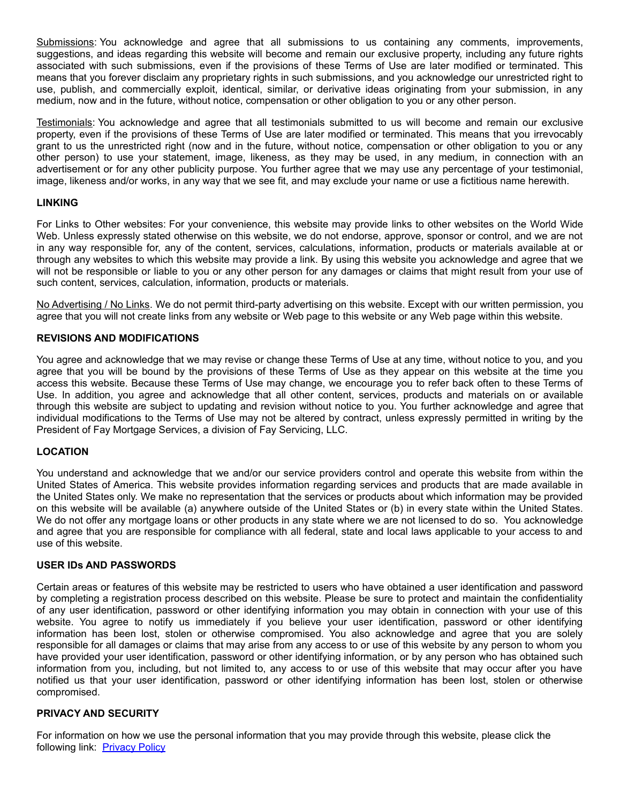Submissions: You acknowledge and agree that all submissions to us containing any comments, improvements, suggestions, and ideas regarding this website will become and remain our exclusive property, including any future rights associated with such submissions, even if the provisions of these Terms of Use are later modified or terminated. This means that you forever disclaim any proprietary rights in such submissions, and you acknowledge our unrestricted right to use, publish, and commercially exploit, identical, similar, or derivative ideas originating from your submission, in any medium, now and in the future, without notice, compensation or other obligation to you or any other person.

Testimonials: You acknowledge and agree that all testimonials submitted to us will become and remain our exclusive property, even if the provisions of these Terms of Use are later modified or terminated. This means that you irrevocably grant to us the unrestricted right (now and in the future, without notice, compensation or other obligation to you or any other person) to use your statement, image, likeness, as they may be used, in any medium, in connection with an advertisement or for any other publicity purpose. You further agree that we may use any percentage of your testimonial, image, likeness and/or works, in any way that we see fit, and may exclude your name or use a fictitious name herewith.

# **LINKING**

For Links to Other websites: For your convenience, this website may provide links to other websites on the World Wide Web. Unless expressly stated otherwise on this website, we do not endorse, approve, sponsor or control, and we are not in any way responsible for, any of the content, services, calculations, information, products or materials available at or through any websites to which this website may provide a link. By using this website you acknowledge and agree that we will not be responsible or liable to you or any other person for any damages or claims that might result from your use of such content, services, calculation, information, products or materials.

No Advertising / No Links. We do not permit third-party advertising on this website. Except with our written permission, you agree that you will not create links from any website or Web page to this website or any Web page within this website.

# **REVISIONS AND MODIFICATIONS**

You agree and acknowledge that we may revise or change these Terms of Use at any time, without notice to you, and you agree that you will be bound by the provisions of these Terms of Use as they appear on this website at the time you access this website. Because these Terms of Use may change, we encourage you to refer back often to these Terms of Use. In addition, you agree and acknowledge that all other content, services, products and materials on or available through this website are subject to updating and revision without notice to you. You further acknowledge and agree that individual modifications to the Terms of Use may not be altered by contract, unless expressly permitted in writing by the President of Fay Mortgage Services, a division of Fay Servicing, LLC.

### **LOCATION**

You understand and acknowledge that we and/or our service providers control and operate this website from within the United States of America. This website provides information regarding services and products that are made available in the United States only. We make no representation that the services or products about which information may be provided on this website will be available (a) anywhere outside of the United States or (b) in every state within the United States. We do not offer any mortgage loans or other products in any state where we are not licensed to do so. You acknowledge and agree that you are responsible for compliance with all federal, state and local laws applicable to your access to and use of this website.

### **USER IDs AND PASSWORDS**

Certain areas or features of this website may be restricted to users who have obtained a user identification and password by completing a registration process described on this website. Please be sure to protect and maintain the confidentiality of any user identification, password or other identifying information you may obtain in connection with your use of this website. You agree to notify us immediately if you believe your user identification, password or other identifying information has been lost, stolen or otherwise compromised. You also acknowledge and agree that you are solely responsible for all damages or claims that may arise from any access to or use of this website by any person to whom you have provided your user identification, password or other identifying information, or by any person who has obtained such information from you, including, but not limited to, any access to or use of this website that may occur after you have notified us that your user identification, password or other identifying information has been lost, stolen or otherwise compromised.

### **PRIVACY AND SECURITY**

For information on how we use the personal information that you may provide through this website, please click the following link: [Privacy Policy](https://faymortgage.com/uploads/pages/Fay_Mortgage_Privacy_Policy.pdf)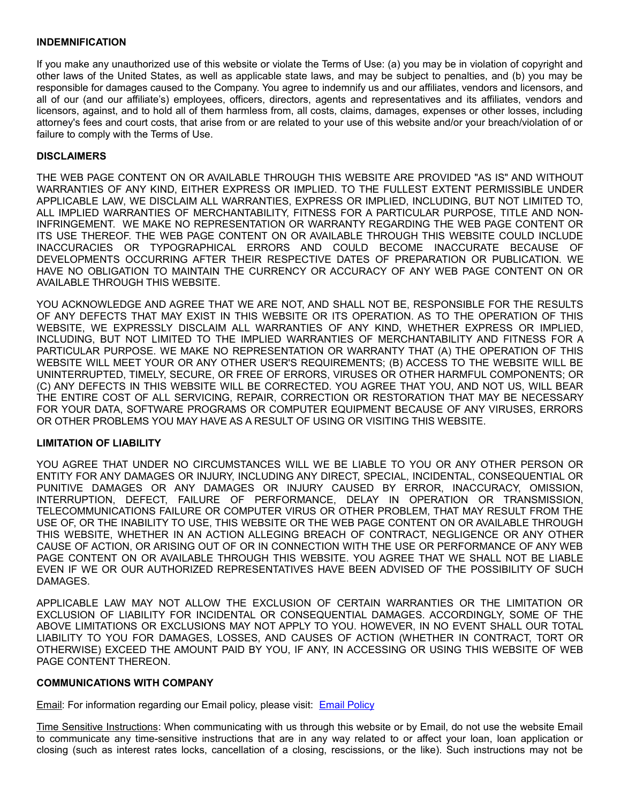### **INDEMNIFICATION**

If you make any unauthorized use of this website or violate the Terms of Use: (a) you may be in violation of copyright and other laws of the United States, as well as applicable state laws, and may be subject to penalties, and (b) you may be responsible for damages caused to the Company. You agree to indemnify us and our affiliates, vendors and licensors, and all of our (and our affiliate's) employees, officers, directors, agents and representatives and its affiliates, vendors and licensors, against, and to hold all of them harmless from, all costs, claims, damages, expenses or other losses, including attorney's fees and court costs, that arise from or are related to your use of this website and/or your breach/violation of or failure to comply with the Terms of Use.

# **DISCLAIMERS**

THE WEB PAGE CONTENT ON OR AVAILABLE THROUGH THIS WEBSITE ARE PROVIDED "AS IS" AND WITHOUT WARRANTIES OF ANY KIND, EITHER EXPRESS OR IMPLIED. TO THE FULLEST EXTENT PERMISSIBLE UNDER APPLICABLE LAW, WE DISCLAIM ALL WARRANTIES, EXPRESS OR IMPLIED, INCLUDING, BUT NOT LIMITED TO, ALL IMPLIED WARRANTIES OF MERCHANTABILITY, FITNESS FOR A PARTICULAR PURPOSE, TITLE AND NON-INFRINGEMENT. WE MAKE NO REPRESENTATION OR WARRANTY REGARDING THE WEB PAGE CONTENT OR ITS USE THEREOF. THE WEB PAGE CONTENT ON OR AVAILABLE THROUGH THIS WEBSITE COULD INCLUDE INACCURACIES OR TYPOGRAPHICAL ERRORS AND COULD BECOME INACCURATE BECAUSE OF DEVELOPMENTS OCCURRING AFTER THEIR RESPECTIVE DATES OF PREPARATION OR PUBLICATION. WE HAVE NO OBLIGATION TO MAINTAIN THE CURRENCY OR ACCURACY OF ANY WEB PAGE CONTENT ON OR AVAILABLE THROUGH THIS WEBSITE.

YOU ACKNOWLEDGE AND AGREE THAT WE ARE NOT, AND SHALL NOT BE, RESPONSIBLE FOR THE RESULTS OF ANY DEFECTS THAT MAY EXIST IN THIS WEBSITE OR ITS OPERATION. AS TO THE OPERATION OF THIS WEBSITE, WE EXPRESSLY DISCLAIM ALL WARRANTIES OF ANY KIND, WHETHER EXPRESS OR IMPLIED, INCLUDING, BUT NOT LIMITED TO THE IMPLIED WARRANTIES OF MERCHANTABILITY AND FITNESS FOR A PARTICULAR PURPOSE. WE MAKE NO REPRESENTATION OR WARRANTY THAT (A) THE OPERATION OF THIS WEBSITE WILL MEET YOUR OR ANY OTHER USER'S REQUIREMENTS; (B) ACCESS TO THE WEBSITE WILL BE UNINTERRUPTED, TIMELY, SECURE, OR FREE OF ERRORS, VIRUSES OR OTHER HARMFUL COMPONENTS; OR (C) ANY DEFECTS IN THIS WEBSITE WILL BE CORRECTED. YOU AGREE THAT YOU, AND NOT US, WILL BEAR THE ENTIRE COST OF ALL SERVICING, REPAIR, CORRECTION OR RESTORATION THAT MAY BE NECESSARY FOR YOUR DATA, SOFTWARE PROGRAMS OR COMPUTER EQUIPMENT BECAUSE OF ANY VIRUSES, ERRORS OR OTHER PROBLEMS YOU MAY HAVE AS A RESULT OF USING OR VISITING THIS WEBSITE.

### **LIMITATION OF LIABILITY**

YOU AGREE THAT UNDER NO CIRCUMSTANCES WILL WE BE LIABLE TO YOU OR ANY OTHER PERSON OR ENTITY FOR ANY DAMAGES OR INJURY, INCLUDING ANY DIRECT, SPECIAL, INCIDENTAL, CONSEQUENTIAL OR PUNITIVE DAMAGES OR ANY DAMAGES OR INJURY CAUSED BY ERROR, INACCURACY, OMISSION, INTERRUPTION, DEFECT, FAILURE OF PERFORMANCE, DELAY IN OPERATION OR TRANSMISSION, TELECOMMUNICATIONS FAILURE OR COMPUTER VIRUS OR OTHER PROBLEM, THAT MAY RESULT FROM THE USE OF, OR THE INABILITY TO USE, THIS WEBSITE OR THE WEB PAGE CONTENT ON OR AVAILABLE THROUGH THIS WEBSITE, WHETHER IN AN ACTION ALLEGING BREACH OF CONTRACT, NEGLIGENCE OR ANY OTHER CAUSE OF ACTION, OR ARISING OUT OF OR IN CONNECTION WITH THE USE OR PERFORMANCE OF ANY WEB PAGE CONTENT ON OR AVAILABLE THROUGH THIS WEBSITE. YOU AGREE THAT WE SHALL NOT BE LIABLE EVEN IF WE OR OUR AUTHORIZED REPRESENTATIVES HAVE BEEN ADVISED OF THE POSSIBILITY OF SUCH DAMAGES.

APPLICABLE LAW MAY NOT ALLOW THE EXCLUSION OF CERTAIN WARRANTIES OR THE LIMITATION OR EXCLUSION OF LIABILITY FOR INCIDENTAL OR CONSEQUENTIAL DAMAGES. ACCORDINGLY, SOME OF THE ABOVE LIMITATIONS OR EXCLUSIONS MAY NOT APPLY TO YOU. HOWEVER, IN NO EVENT SHALL OUR TOTAL LIABILITY TO YOU FOR DAMAGES, LOSSES, AND CAUSES OF ACTION (WHETHER IN CONTRACT, TORT OR OTHERWISE) EXCEED THE AMOUNT PAID BY YOU, IF ANY, IN ACCESSING OR USING THIS WEBSITE OF WEB PAGE CONTENT THEREON.

### **COMMUNICATIONS WITH COMPANY**

Email: For information regarding our Email policy, please visit: **[Email Policy](https://faymortgage.com/uploads/pages/Email_Policy.pdf)** 

Time Sensitive Instructions: When communicating with us through this website or by Email, do not use the website Email to communicate any time-sensitive instructions that are in any way related to or affect your loan, loan application or closing (such as interest rates locks, cancellation of a closing, rescissions, or the like). Such instructions may not be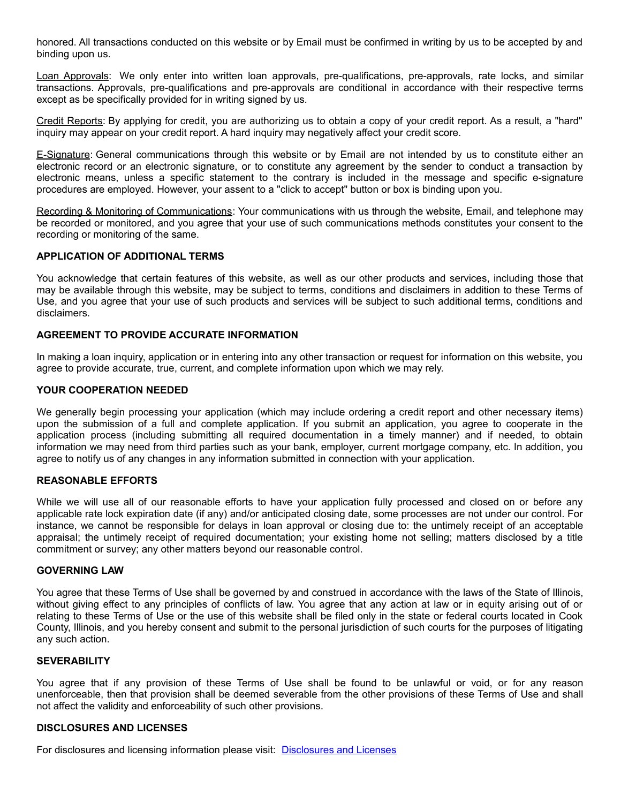honored. All transactions conducted on this website or by Email must be confirmed in writing by us to be accepted by and binding upon us.

Loan Approvals: We only enter into written loan approvals, pre-qualifications, pre-approvals, rate locks, and similar transactions. Approvals, pre-qualifications and pre-approvals are conditional in accordance with their respective terms except as be specifically provided for in writing signed by us.

Credit Reports: By applying for credit, you are authorizing us to obtain a copy of your credit report. As a result, a "hard" inquiry may appear on your credit report. A hard inquiry may negatively affect your credit score.

E-Signature: General communications through this website or by Email are not intended by us to constitute either an electronic record or an electronic signature, or to constitute any agreement by the sender to conduct a transaction by electronic means, unless a specific statement to the contrary is included in the message and specific e-signature procedures are employed. However, your assent to a "click to accept" button or box is binding upon you.

Recording & Monitoring of Communications: Your communications with us through the website, Email, and telephone may be recorded or monitored, and you agree that your use of such communications methods constitutes your consent to the recording or monitoring of the same.

# **APPLICATION OF ADDITIONAL TERMS**

You acknowledge that certain features of this website, as well as our other products and services, including those that may be available through this website, may be subject to terms, conditions and disclaimers in addition to these Terms of Use, and you agree that your use of such products and services will be subject to such additional terms, conditions and disclaimers.

# **AGREEMENT TO PROVIDE ACCURATE INFORMATION**

In making a loan inquiry, application or in entering into any other transaction or request for information on this website, you agree to provide accurate, true, current, and complete information upon which we may rely.

# **YOUR COOPERATION NEEDED**

We generally begin processing your application (which may include ordering a credit report and other necessary items) upon the submission of a full and complete application. If you submit an application, you agree to cooperate in the application process (including submitting all required documentation in a timely manner) and if needed, to obtain information we may need from third parties such as your bank, employer, current mortgage company, etc. In addition, you agree to notify us of any changes in any information submitted in connection with your application.

# **REASONABLE EFFORTS**

While we will use all of our reasonable efforts to have your application fully processed and closed on or before any applicable rate lock expiration date (if any) and/or anticipated closing date, some processes are not under our control. For instance, we cannot be responsible for delays in loan approval or closing due to: the untimely receipt of an acceptable appraisal; the untimely receipt of required documentation; your existing home not selling; matters disclosed by a title commitment or survey; any other matters beyond our reasonable control.

### **GOVERNING LAW**

You agree that these Terms of Use shall be governed by and construed in accordance with the laws of the State of Illinois, without giving effect to any principles of conflicts of law. You agree that any action at law or in equity arising out of or relating to these Terms of Use or the use of this website shall be filed only in the state or federal courts located in Cook County, Illinois, and you hereby consent and submit to the personal jurisdiction of such courts for the purposes of litigating any such action.

### **SEVERABILITY**

You agree that if any provision of these Terms of Use shall be found to be unlawful or void, or for any reason unenforceable, then that provision shall be deemed severable from the other provisions of these Terms of Use and shall not affect the validity and enforceability of such other provisions.

### **DISCLOSURES AND LICENSES**

For disclosures and licensing information please visit: [Disclosures and Licenses](https://faymortgage.com/uploads/pages/Licenses_and_Disclosures_Link_DocumentNEW.pdf)